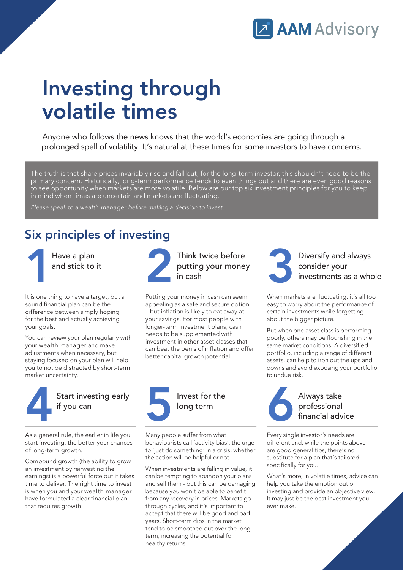

## Investing through volatile times

Anyone who follows the news knows that the world's economies are going through a prolonged spell of volatility. It's natural at these times for some investors to have concerns.

The truth is that share prices invariably rise and fall but, for the long-term investor, this shouldn't need to be the primary concern. Historically, long-term performance tends to even things out and there are even good reasons to see opportunity when markets are more volatile. Below are our top six investment principles for you to keep in mind when times are uncertain and markets are fluctuating.

Please speak to a wealth manager before making a decision to invest.

## Six principles of investing

1 Have a plan and stick to it

It is one thing to have a target, but a sound financial plan can be the difference between simply hoping for the best and actually achieving your goals.

You can review your plan regularly with your wealth manager and make adjustments when necessary, but staying focused on your plan will help you to not be distracted by short-term market uncertainty.



As a general rule, the earlier in life you start investing, the better your chances of long-term growth.

Compound growth (the ability to grow an investment by reinvesting the earnings) is a powerful force but it takes time to deliver. The right time to invest is when you and your wealth manager have formulated a clear financial plan that requires growth.



Think twice before putting your money in cash

Putting your money in cash can seem appealing as a safe and secure option – but inflation is likely to eat away at your savings. For most people with longer-term investment plans, cash needs to be supplemented with investment in other asset classes that can beat the perils of inflation and offer better capital growth potential.



Many people suffer from what behaviourists call 'activity bias': the urge to 'just do something' in a crisis, whether the action will be helpful or not.

When investments are falling in value, it can be tempting to abandon your plans and sell them - but this can be damaging because you won't be able to benefit from any recovery in prices. Markets go through cycles, and it's important to accept that there will be good and bad years. Short-term dips in the market tend to be smoothed out over the long term, increasing the potential for healthy returns.



Diversify and always consider your investments as a whole

When markets are fluctuating, it's all too easy to worry about the performance of certain investments while forgetting about the bigger picture.

But when one asset class is performing poorly, others may be flourishing in the same market conditions. A diversified portfolio, including a range of different assets, can help to iron out the ups and downs and avoid exposing your portfolio to undue risk.



Every single investor's needs are different and, while the points above are good general tips, there's no substitute for a plan that's tailored specifically for you.

What's more, in volatile times, advice can help you take the emotion out of investing and provide an objective view. It may just be the best investment you ever make.